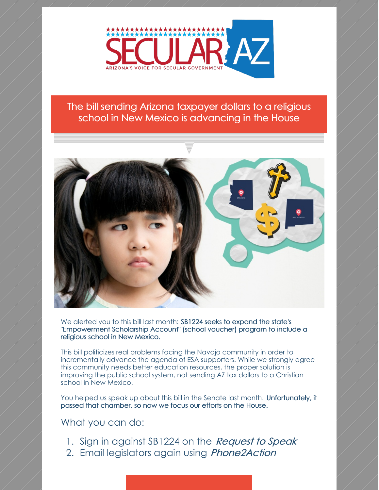

#### The bill sending Arizona taxpayer dollars to a religious school in New Mexico is advancing in the House



We alerted you to this bill last month: SB1224 seeks to expand the state's "Empowerment Scholarship Account" (school voucher) program to include a religious school in New Mexico.

This bill politicizes real problems facing the Navajo community in order to incrementally advance the agenda of ESA supporters. While we strongly agree this community needs better education resources, the proper solution is improving the public school system, not sending AZ tax dollars to a Christian school in New Mexico.

You helped us speak up about this bill in the Senate last month. Unfortunately, it passed that chamber, so now we focus our efforts on the House.

### What you can do:

- 1. Sign in against SB1224 on the *[Request](http://apps.azleg.gov) to Speak*
- 2. Email legislators again using *[Phone2Action](https://p2a.co/cklG37c)*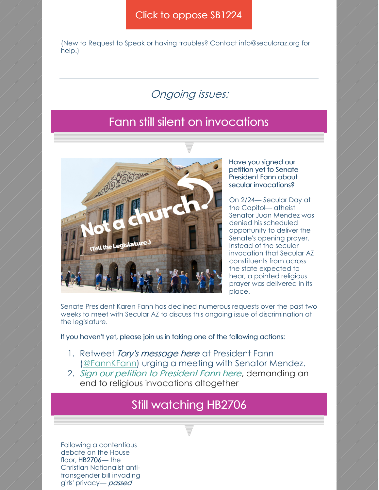#### Click to [oppose](https://p2a.co/cklG37c) SB1224

(New to Request to Speak or having troubles? Contact info@secularaz.org for help.)

## Ongoing issues:

## Fann still silent on invocations



Have you signed our petition yet to Senate President Fann about secular invocations?

On 2/24— Secular Day at the Capitol— atheist Senator Juan Mendez was denied his scheduled opportunity to deliver the Senate's opening prayer. Instead of the secular invocation that Secular AZ constituents from across the state expected to hear, a pointed religious prayer was delivered in its place.

Senate President Karen Fann has declined numerous requests over the past two weeks to meet with Secular AZ to discuss this ongoing issue of discrimination at the legislature.

If you haven't yet, please join us in taking one of the following actions:

- 1. Retweet *Tory's [message](https://twitter.com/ToryAZ/status/1232644660004130816) here* at President Fann [\(@FannKFann](https://twitter.com/fannkfann)) urging a meeting with Senator Mendez.
- 2. Sign our [petition](https://p2a.co/SzNRqe0) to President Fann here, demanding an end to religious invocations altogether

## Still watching HB2706

Following a contentious debate on the House floor, HB2706— the Christian Nationalist antitransgender bill invading girls' privacy- passed